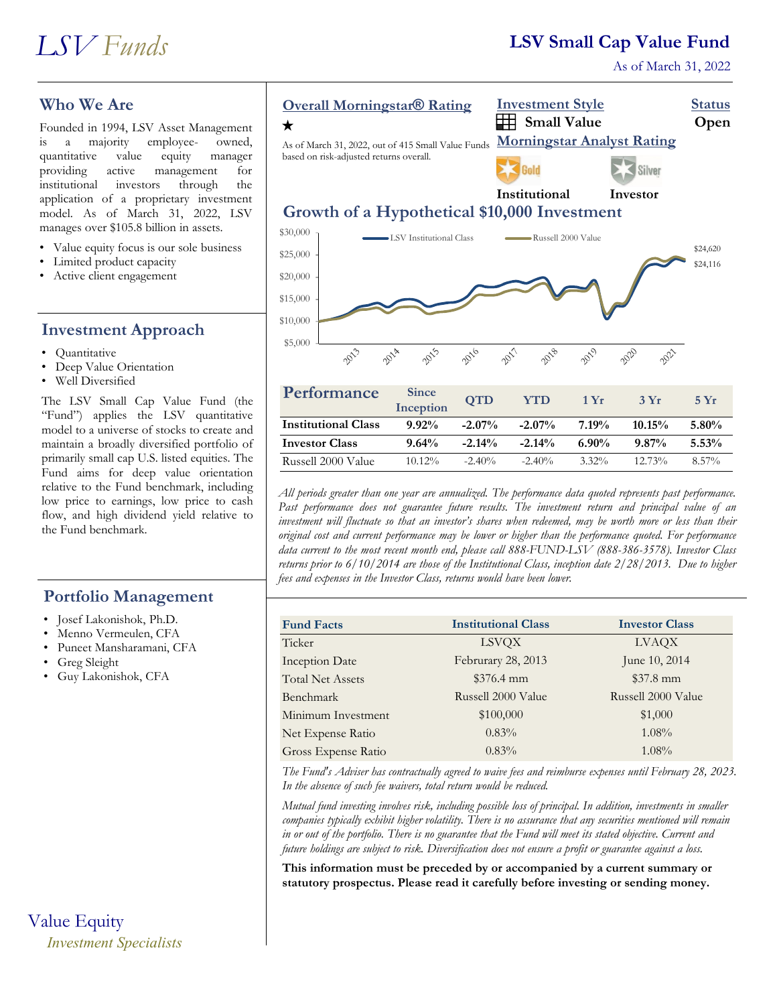## **LSV Small Cap Value Fund**

As of March 31, 2022

## **Who We Are**

Founded in 1994, LSV Asset Management is a majority employee- owned, quantitative value equity manager providing active management for institutional investors through the application of a proprietary investment model. As of March 31, 2022, LSV manages over \$105.8 billion in assets.

- Value equity focus is our sole business
- Limited product capacity
- Active client engagement

### **Investment Approach**

- Quantitative
- Deep Value Orientation
- Well Diversified

The LSV Small Cap Value Fund (the "Fund") applies the LSV quantitative model to a universe of stocks to create and maintain a broadly diversified portfolio of primarily small cap U.S. listed equities. The Fund aims for deep value orientation relative to the Fund benchmark, including low price to earnings, low price to cash flow, and high dividend yield relative to the Fund benchmark.

#### **Portfolio Management**

- Josef Lakonishok, Ph.D.
- Menno Vermeulen, CFA
- Puneet Mansharamani, CFA
- Greg Sleight
- Guy Lakonishok, CFA

# Value Equity *Investment Specialists*



| Performance                | <b>Since</b><br>Inception | <b>QTD</b> | <b>YTD</b> | 1Yr      | 3Yr       | $5 \mathrm{Yr}$ |
|----------------------------|---------------------------|------------|------------|----------|-----------|-----------------|
| <b>Institutional Class</b> | $9.92\%$                  | $-2.07\%$  | $-2.07\%$  | 7.19%    | $10.15\%$ | $5.80\%$        |
| <b>Investor Class</b>      | $9.64\%$                  | $-2.14\%$  | $-2.14%$   | $6.90\%$ | $9.87\%$  | 5.53%           |
| Russell 2000 Value         | $10.12\%$                 | $-2.40\%$  | $-2.40\%$  | $3.32\%$ | $12.73\%$ | $8.57\%$        |

*All periods greater than one year are annualized. The performance data quoted represents past performance. Past performance does not guarantee future results. The investment return and principal value of an investment will fluctuate so that an investor's shares when redeemed, may be worth more or less than their original cost and current performance may be lower or higher than the performance quoted. For performance data current to the most recent month end, please call 888-FUND-LSV (888-386-3578). Investor Class returns prior to 6/10/2014 are those of the Institutional Class, inception date 2/28/2013. Due to higher fees and expenses in the Investor Class, returns would have been lower.*

| <b>Fund Facts</b>       | <b>Institutional Class</b> | <b>Investor Class</b> |  |
|-------------------------|----------------------------|-----------------------|--|
| Ticker                  | <b>LSVQX</b>               | <b>LVAQX</b>          |  |
| <b>Inception Date</b>   | Februrary 28, 2013         | June 10, 2014         |  |
| <b>Total Net Assets</b> | $$376.4$ mm                | $$37.8 \text{ mm}$    |  |
| Benchmark               | Russell 2000 Value         | Russell 2000 Value    |  |
| Minimum Investment      | \$100,000                  | \$1,000               |  |
| Net Expense Ratio       | $0.83\%$                   | $1.08\%$              |  |
| Gross Expense Ratio     | $0.83\%$                   | $1.08\%$              |  |

*The Fund's Adviser has contractually agreed to waive fees and reimburse expenses until February 28, 2023. In the absence of such fee waivers, total return would be reduced.* 

*Mutual fund investing involves risk, including possible loss of principal. In addition, investments in smaller companies typically exhibit higher volatility. There is no assurance that any securities mentioned will remain in or out of the portfolio. There is no guarantee that the Fund will meet its stated objective. Current and future holdings are subject to risk. Diversification does not ensure a profit or guarantee against a loss.*

**This information must be preceded by or accompanied by a current summary or statutory prospectus. Please read it carefully before investing or sending money.**